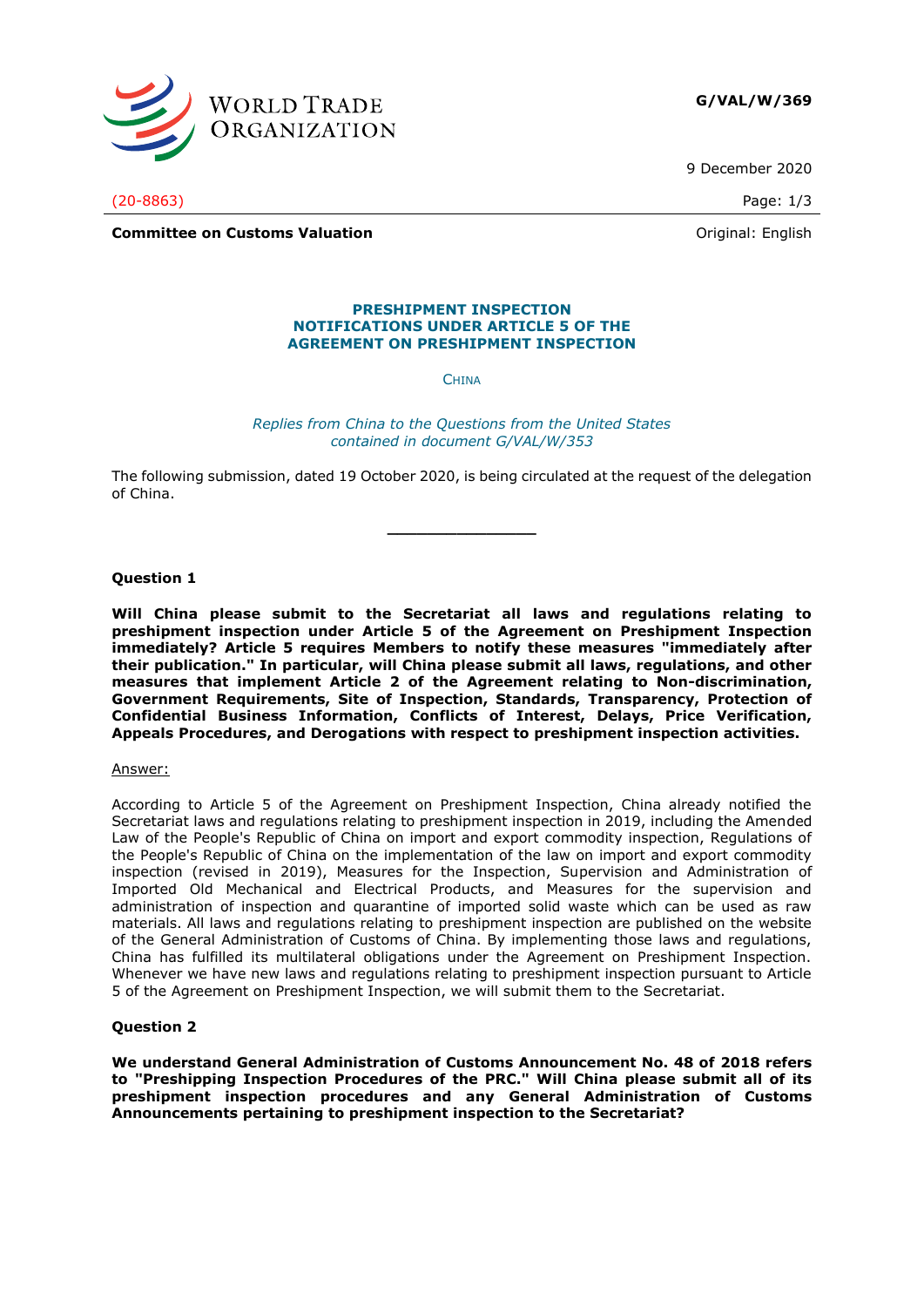

9 December 2020

**Committee on Customs Valuation Committee on Customs Valuation Committee on Customs Valuation** 

# **PRESHIPMENT INSPECTION**

**CHINA** 

**NOTIFICATIONS UNDER ARTICLE 5 OF THE AGREEMENT ON PRESHIPMENT INSPECTION**

*Replies from China to the Questions from the United States contained in document G/VAL/W/353*

The following submission, dated 19 October 2020, is being circulated at the request of the delegation of China.

**\_\_\_\_\_\_\_\_\_\_\_\_\_\_\_**

## **Question 1**

**Will China please submit to the Secretariat all laws and regulations relating to preshipment inspection under Article 5 of the Agreement on Preshipment Inspection immediately? Article 5 requires Members to notify these measures "immediately after their publication." In particular, will China please submit all laws, regulations, and other measures that implement Article 2 of the Agreement relating to Non-discrimination, Government Requirements, Site of Inspection, Standards, Transparency, Protection of Confidential Business Information, Conflicts of Interest, Delays, Price Verification, Appeals Procedures, and Derogations with respect to preshipment inspection activities.**

Answer:

According to Article 5 of the Agreement on Preshipment Inspection, China already notified the Secretariat laws and regulations relating to preshipment inspection in 2019, including the Amended Law of the People's Republic of China on import and export commodity inspection, Regulations of the People's Republic of China on the implementation of the law on import and export commodity inspection (revised in 2019), Measures for the Inspection, Supervision and Administration of Imported Old Mechanical and Electrical Products, and Measures for the supervision and administration of inspection and quarantine of imported solid waste which can be used as raw materials. All laws and regulations relating to preshipment inspection are published on the website of the General Administration of Customs of China. By implementing those laws and regulations, China has fulfilled its multilateral obligations under the Agreement on Preshipment Inspection. Whenever we have new laws and regulations relating to preshipment inspection pursuant to Article 5 of the Agreement on Preshipment Inspection, we will submit them to the Secretariat.

# **Question 2**

**We understand General Administration of Customs Announcement No. 48 of 2018 refers to "Preshipping Inspection Procedures of the PRC." Will China please submit all of its preshipment inspection procedures and any General Administration of Customs Announcements pertaining to preshipment inspection to the Secretariat?** 

(20-8863) Page: 1/3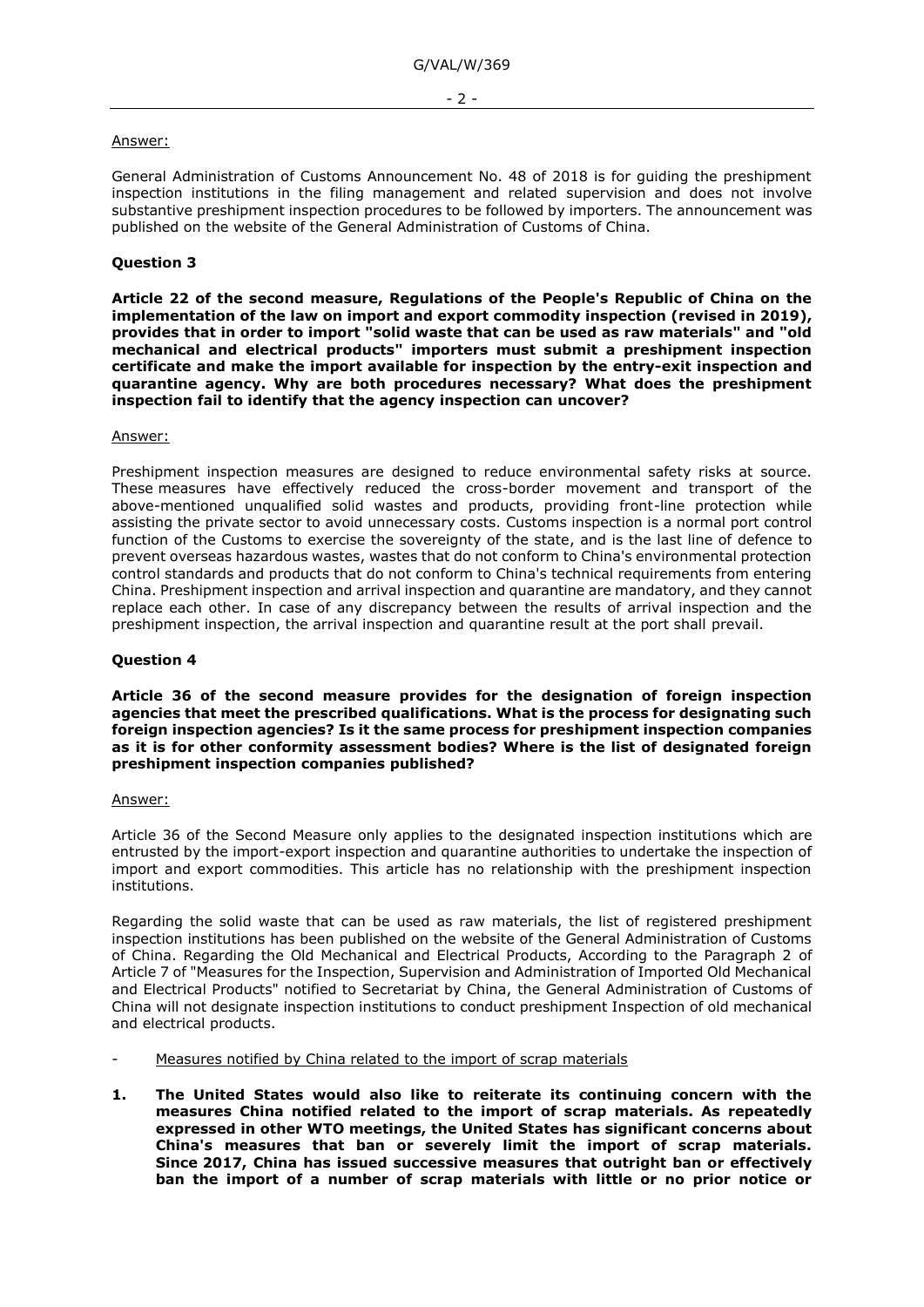## Answer:

General Administration of Customs Announcement No. 48 of 2018 is for guiding the preshipment inspection institutions in the filing management and related supervision and does not involve substantive preshipment inspection procedures to be followed by importers. The announcement was published on the website of the General Administration of Customs of China.

# **Question 3**

**Article 22 of the second measure, Regulations of the People's Republic of China on the implementation of the law on import and export commodity inspection (revised in 2019), provides that in order to import "solid waste that can be used as raw materials" and "old mechanical and electrical products" importers must submit a preshipment inspection certificate and make the import available for inspection by the entry-exit inspection and quarantine agency. Why are both procedures necessary? What does the preshipment inspection fail to identify that the agency inspection can uncover?**

## Answer:

Preshipment inspection measures are designed to reduce environmental safety risks at source. These measures have effectively reduced the cross-border movement and transport of the above-mentioned unqualified solid wastes and products, providing front-line protection while assisting the private sector to avoid unnecessary costs. Customs inspection is a normal port control function of the Customs to exercise the sovereignty of the state, and is the last line of defence to prevent overseas hazardous wastes, wastes that do not conform to China's environmental protection control standards and products that do not conform to China's technical requirements from entering China. Preshipment inspection and arrival inspection and quarantine are mandatory, and they cannot replace each other. In case of any discrepancy between the results of arrival inspection and the preshipment inspection, the arrival inspection and quarantine result at the port shall prevail.

# **Question 4**

**Article 36 of the second measure provides for the designation of foreign inspection agencies that meet the prescribed qualifications. What is the process for designating such foreign inspection agencies? Is it the same process for preshipment inspection companies as it is for other conformity assessment bodies? Where is the list of designated foreign preshipment inspection companies published?** 

#### Answer:

Article 36 of the Second Measure only applies to the designated inspection institutions which are entrusted by the import-export inspection and quarantine authorities to undertake the inspection of import and export commodities. This article has no relationship with the preshipment inspection institutions.

Regarding the solid waste that can be used as raw materials, the list of registered preshipment inspection institutions has been published on the website of the General Administration of Customs of China. Regarding the Old Mechanical and Electrical Products, According to the Paragraph 2 of Article 7 of "Measures for the Inspection, Supervision and Administration of Imported Old Mechanical and Electrical Products" notified to Secretariat by China, the General Administration of Customs of China will not designate inspection institutions to conduct preshipment Inspection of old mechanical and electrical products.

- Measures notified by China related to the import of scrap materials
- **1. The United States would also like to reiterate its continuing concern with the measures China notified related to the import of scrap materials. As repeatedly expressed in other WTO meetings, the United States has significant concerns about China's measures that ban or severely limit the import of scrap materials. Since 2017, China has issued successive measures that outright ban or effectively ban the import of a number of scrap materials with little or no prior notice or**